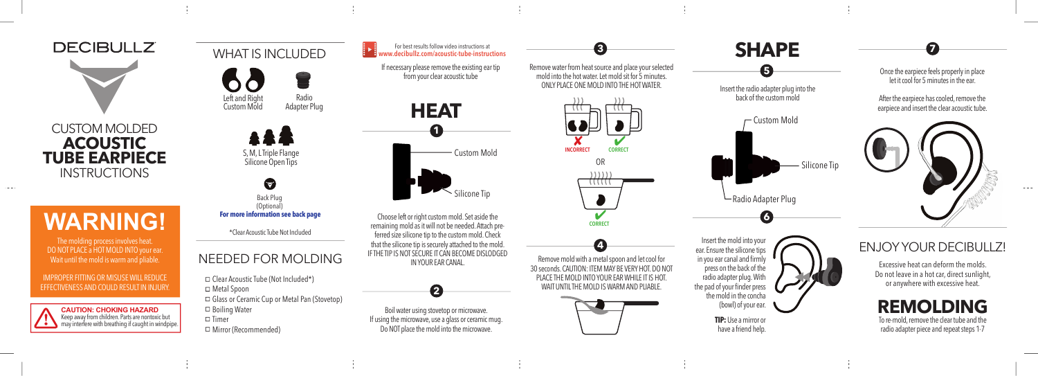

## **WARNING!**

The molding process involves heat. DO NOT PLACE a HOT MOLD INTO your ear. Wait until the mold is warm and pliable.

IMPROPER FITTING OR MISUSE WILL REDUCE EFFECTIVENESS AND COULD RESULT IN INJURY.



WHAT IS INCLUDED Left and Right Custom Mold Radio Adapter Plug



**For more information see back page** Back Plug (Optional)

\*Clear Acoustic Tube Not Included

#### NEEDED FOR MOLDING

 $\Box$  Clear Acoustic Tube (Not Included\*) □ Metal Spoon Glass or Ceramic Cup or Metal Pan (Stovetop)  $\Box$  Boiling Water  $\square$  Timer Mirror (Recommended)



For best results follow video instructions at **www.decibullz.com/acoustic-tube-instructions**

If necessary please remove the existing ear tip

Choose left or right custom mold. Set aside the remaining mold as it will not be needed. Attach preferred size silicone tip to the custom mold. Check that the silicone tip is securely attached to the mold. IF THE TIP IS NOT SECURE IT CAN BECOME DISLODGED IN YOUR EAR CANAL.



Boil water using stovetop or microwave. If using the microwave, use a glass or ceramic mug. Do NOT place the mold into the microwave.



the mold in the concha (bowl) of your ear. **TIP:** Use a mirror or

have a friend help.

Once the earpiece feels properly in place let it cool for 5 minutes in the ear.

After the earpiece has cooled, remove the earpiece and insert the clear acoustic tube.



ENJOY YOUR DECIBULLZ!

Excessive heat can deform the molds. Do not leave in a hot car, direct sunlight, or anywhere with excessive heat.

**REMOLDING** To re-mold, remove the clear tube and the radio adapter piece and repeat steps 1-7